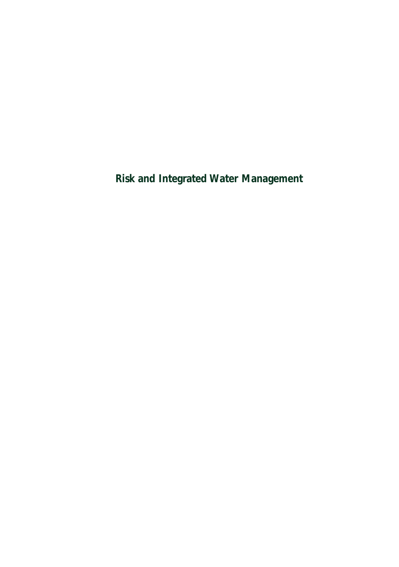*Risk and Integrated Water Management*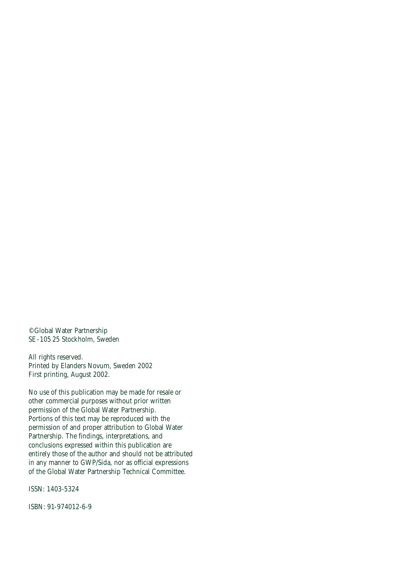©Global Water Partnership SE-105 25 Stockholm, Sweden

All rights reserved. Printed by Elanders Novum, Sweden 2002 First printing, August 2002.

No use of this publication may be made for resale or other commercial purposes without prior written permission of the Global Water Partnership. Portions of this text may be reproduced with the permission of and proper attribution to Global Water Partnership. The findings, interpretations, and conclusions expressed within this publication are entirely those of the author and should not be attributed in any manner to GWP/Sida, nor as official expressions of the Global Water Partnership Technical Committee.

ISSN: 1403-5324

ISBN: 91-974012-6-9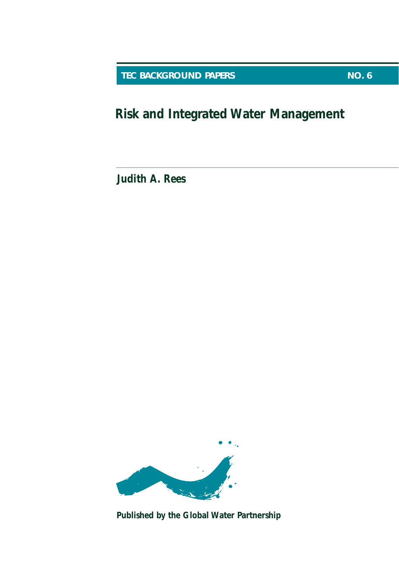**TEC BACKGROUND PAPERS** NO. 6

*Risk and Integrated Water Management*

**Judith A. Rees**



*Published by the Global Water Partnership*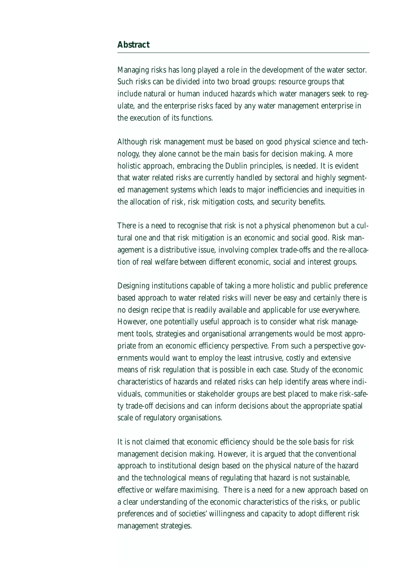#### *Abstract*

Managing risks has long played a role in the development of the water sector. Such risks can be divided into two broad groups: resource groups that include natural or human induced hazards which water managers seek to regulate, and the enterprise risks faced by any water management enterprise in the execution of its functions.

Although risk management must be based on good physical science and technology, they alone cannot be the main basis for decision making. A more holistic approach, embracing the Dublin principles, is needed. It is evident that water related risks are currently handled by sectoral and highly segmented management systems which leads to major inefficiencies and inequities in the allocation of risk, risk mitigation costs, and security benefits.

There is a need to recognise that risk is not a physical phenomenon but a cultural one and that risk mitigation is an economic and social good. Risk management is a distributive issue, involving complex trade-offs and the re-allocation of real welfare between different economic, social and interest groups.

Designing institutions capable of taking a more holistic and public preference based approach to water related risks will never be easy and certainly there is no design recipe that is readily available and applicable for use everywhere. However, one potentially useful approach is to consider what risk management tools, strategies and organisational arrangements would be most appropriate from an economic efficiency perspective. From such a perspective governments would want to employ the least intrusive, costly and extensive means of risk regulation that is possible in each case. Study of the economic characteristics of hazards and related risks can help identify areas where individuals, communities or stakeholder groups are best placed to make risk-safety trade-off decisions and can inform decisions about the appropriate spatial scale of regulatory organisations.

It is not claimed that economic efficiency should be the sole basis for risk management decision making. However, it is argued that the conventional approach to institutional design based on the physical nature of the hazard and the technological means of regulating that hazard is not sustainable, effective or welfare maximising. There is a need for a new approach based on a clear understanding of the economic characteristics of the risks, or public preferences and of societies' willingness and capacity to adopt different risk management strategies.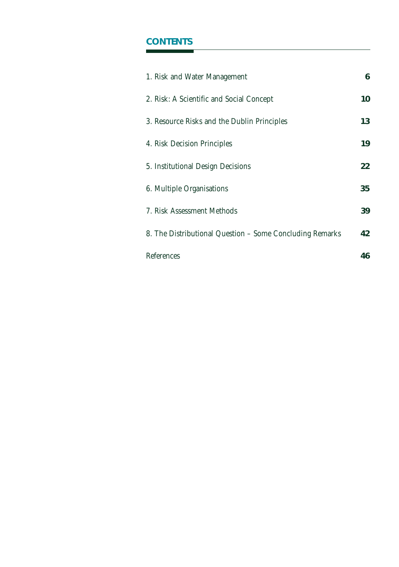## *CONTENTS*

| 1. Risk and Water Management                             | 6  |
|----------------------------------------------------------|----|
| 2. Risk: A Scientific and Social Concept                 | 10 |
| 3. Resource Risks and the Dublin Principles              | 13 |
| 4. Risk Decision Principles                              | 19 |
| 5. Institutional Design Decisions                        | 22 |
| 6. Multiple Organisations                                | 35 |
| 7. Risk Assessment Methods                               | 39 |
| 8. The Distributional Question - Some Concluding Remarks | 42 |
| References                                               | 46 |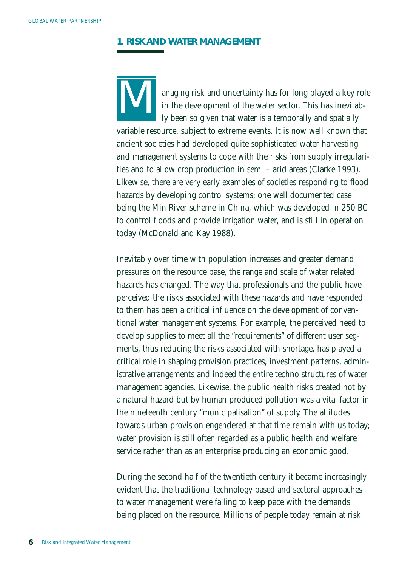### *1. RISK AND WATER MANAGEMENT*



anaging risk and uncertainty has for long played a key role in the development of the water sector. This has inevitably been so given that water is a temporally and spatially

variable resource, subject to extreme events. It is now well known that ancient societies had developed quite sophisticated water harvesting and management systems to cope with the risks from supply irregularities and to allow crop production in semi – arid areas (Clarke 1993). Likewise, there are very early examples of societies responding to flood hazards by developing control systems; one well documented case being the Min River scheme in China, which was developed in 250 BC to control floods and provide irrigation water, and is still in operation today (McDonald and Kay 1988).

Inevitably over time with population increases and greater demand pressures on the resource base, the range and scale of water related hazards has changed. The way that professionals and the public have perceived the risks associated with these hazards and have responded to them has been a critical influence on the development of conventional water management systems. For example, the perceived need to develop supplies to meet all the "requirements" of different user segments, thus reducing the risks associated with shortage, has played a critical role in shaping provision practices, investment patterns, administrative arrangements and indeed the entire techno structures of water management agencies. Likewise, the public health risks created not by a natural hazard but by human produced pollution was a vital factor in the nineteenth century "municipalisation" of supply. The attitudes towards urban provision engendered at that time remain with us today; water provision is still often regarded as a public health and welfare service rather than as an enterprise producing an economic good.

During the second half of the twentieth century it became increasingly evident that the traditional technology based and sectoral approaches to water management were failing to keep pace with the demands being placed on the resource. Millions of people today remain at risk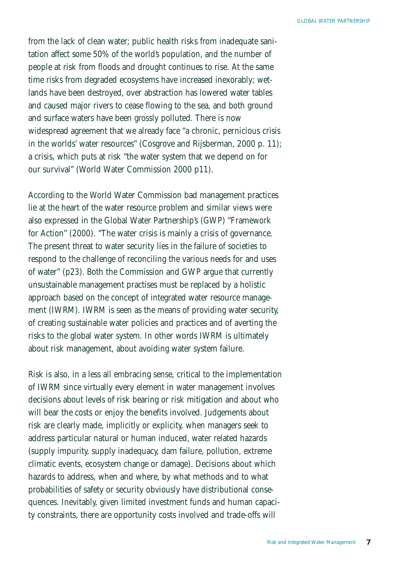from the lack of clean water; public health risks from inadequate sanitation affect some 50% of the world's population, and the number of people at risk from floods and drought continues to rise. At the same time risks from degraded ecosystems have increased inexorably; wetlands have been destroyed, over abstraction has lowered water tables and caused major rivers to cease flowing to the sea, and both ground and surface waters have been grossly polluted. There is now widespread agreement that we already face "a chronic, pernicious crisis in the worlds' water resources" (Cosgrove and Rijsberman, 2000 p. 11); a crisis, which puts at risk "the water system that we depend on for our survival" (World Water Commission 2000 p11).

According to the World Water Commission bad management practices lie at the heart of the water resource problem and similar views were also expressed in the Global Water Partnership's (GWP) "Framework for Action" (2000). "The water crisis is mainly a crisis of governance. The present threat to water security lies in the failure of societies to respond to the challenge of reconciling the various needs for and uses of water" (p23). Both the Commission and GWP argue that currently unsustainable management practises must be replaced by a holistic approach based on the concept of integrated water resource management (IWRM). IWRM is seen as the means of providing water security, of creating sustainable water policies and practices and of averting the risks to the global water system. In other words IWRM is ultimately about risk management, about avoiding water system failure.

Risk is also, in a less all embracing sense, critical to the implementation of IWRM since virtually every element in water management involves decisions about levels of risk bearing or risk mitigation and about who will bear the costs or enjoy the benefits involved. Judgements about risk are clearly made, implicitly or explicity, when managers seek to address particular natural or human induced, water related hazards (supply impurity, supply inadequacy, dam failure, pollution, extreme climatic events, ecosystem change or damage). Decisions about which hazards to address, when and where, by what methods and to what probabilities of safety or security obviously have distributional consequences. Inevitably, given limited investment funds and human capacity constraints, there are opportunity costs involved and trade-offs will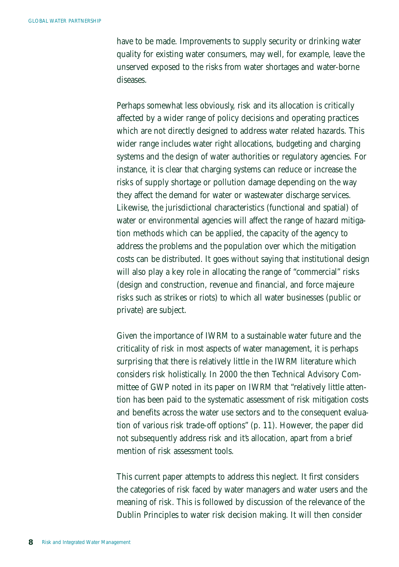have to be made. Improvements to supply security or drinking water quality for existing water consumers, may well, for example, leave the unserved exposed to the risks from water shortages and water-borne diseases.

Perhaps somewhat less obviously, risk and its allocation is critically affected by a wider range of policy decisions and operating practices which are not directly designed to address water related hazards. This wider range includes water right allocations, budgeting and charging systems and the design of water authorities or regulatory agencies. For instance, it is clear that charging systems can reduce or increase the risks of supply shortage or pollution damage depending on the way they affect the demand for water or wastewater discharge services. Likewise, the jurisdictional characteristics (functional and spatial) of water or environmental agencies will affect the range of hazard mitigation methods which can be applied, the capacity of the agency to address the problems and the population over which the mitigation costs can be distributed. It goes without saying that institutional design will also play a key role in allocating the range of "commercial" risks (design and construction, revenue and financial, and force majeure risks such as strikes or riots) to which all water businesses (public or private) are subject.

Given the importance of IWRM to a sustainable water future and the criticality of risk in most aspects of water management, it is perhaps surprising that there is relatively little in the IWRM literature which considers risk holistically. In 2000 the then Technical Advisory Committee of GWP noted in its paper on IWRM that "relatively little attention has been paid to the systematic assessment of risk mitigation costs and benefits across the water use sectors and to the consequent evaluation of various risk trade-off options" (p. 11). However, the paper did not subsequently address risk and it's allocation, apart from a brief mention of risk assessment tools.

This current paper attempts to address this neglect. It first considers the categories of risk faced by water managers and water users and the meaning of risk. This is followed by discussion of the relevance of the Dublin Principles to water risk decision making. It will then consider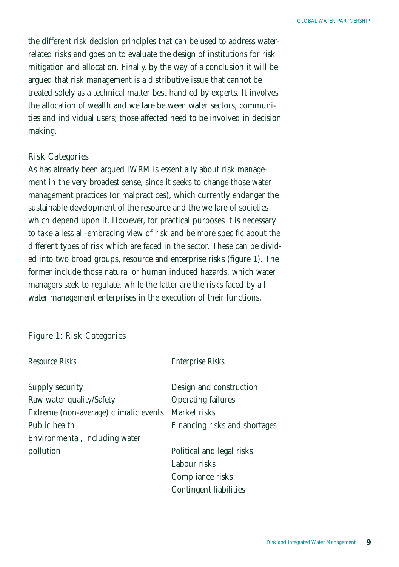the different risk decision principles that can be used to address waterrelated risks and goes on to evaluate the design of institutions for risk mitigation and allocation. Finally, by the way of a conclusion it will be argued that risk management is a distributive issue that cannot be treated solely as a technical matter best handled by experts. It involves the allocation of wealth and welfare between water sectors, communities and individual users; those affected need to be involved in decision making.

### Risk Categories

As has already been argued IWRM is essentially about risk management in the very broadest sense, since it seeks to change those water management practices (or malpractices), which currently endanger the sustainable development of the resource and the welfare of societies which depend upon it. However, for practical purposes it is necessary to take a less all-embracing view of risk and be more specific about the different types of risk which are faced in the sector. These can be divided into two broad groups, resource and enterprise risks (figure 1). The former include those natural or human induced hazards, which water managers seek to regulate, while the latter are the risks faced by all water management enterprises in the execution of their functions.

### Figure 1: Risk Categories

| Resource Risks                                     | <b>Enterprise Risks</b>       |
|----------------------------------------------------|-------------------------------|
| Supply security                                    | Design and construction       |
| Raw water quality/Safety                           | <b>Operating failures</b>     |
| Extreme (non-average) climatic events Market risks |                               |
| Public health                                      | Financing risks and shortages |
| Environmental, including water                     |                               |
| pollution                                          | Political and legal risks     |
|                                                    | Labour risks                  |
|                                                    | Compliance risks              |
|                                                    | Contingent liabilities        |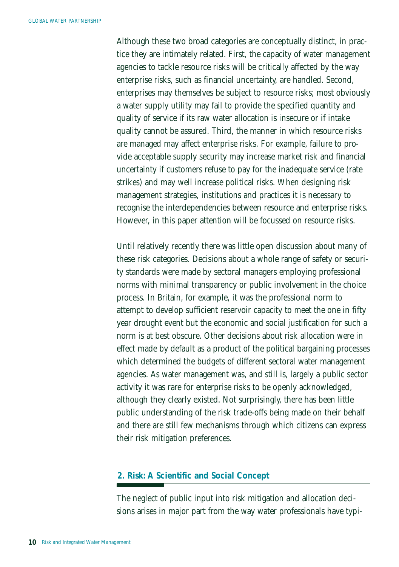Although these two broad categories are conceptually distinct, in practice they are intimately related. First, the capacity of water management agencies to tackle resource risks will be critically affected by the way enterprise risks, such as financial uncertainty, are handled. Second, enterprises may themselves be subject to resource risks; most obviously a water supply utility may fail to provide the specified quantity and quality of service if its raw water allocation is insecure or if intake quality cannot be assured. Third, the manner in which resource risks are managed may affect enterprise risks. For example, failure to provide acceptable supply security may increase market risk and financial uncertainty if customers refuse to pay for the inadequate service (rate strikes) and may well increase political risks. When designing risk management strategies, institutions and practices it is necessary to recognise the interdependencies between resource and enterprise risks. However, in this paper attention will be focussed on resource risks.

Until relatively recently there was little open discussion about many of these risk categories. Decisions about a whole range of safety or security standards were made by sectoral managers employing professional norms with minimal transparency or public involvement in the choice process. In Britain, for example, it was the professional norm to attempt to develop sufficient reservoir capacity to meet the one in fifty year drought event but the economic and social justification for such a norm is at best obscure. Other decisions about risk allocation were in effect made by default as a product of the political bargaining processes which determined the budgets of different sectoral water management agencies. As water management was, and still is, largely a public sector activity it was rare for enterprise risks to be openly acknowledged, although they clearly existed. Not surprisingly, there has been little public understanding of the risk trade-offs being made on their behalf and there are still few mechanisms through which citizens can express their risk mitigation preferences.

## *2. Risk: A Scientific and Social Concept*

The neglect of public input into risk mitigation and allocation decisions arises in major part from the way water professionals have typi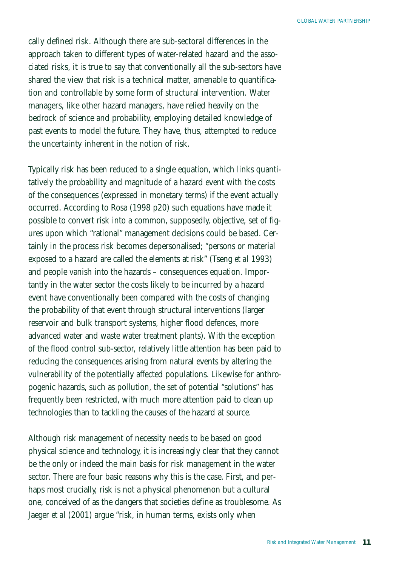cally defined risk. Although there are sub-sectoral differences in the approach taken to different types of water-related hazard and the associated risks, it is true to say that conventionally all the sub-sectors have shared the view that risk is a technical matter, amenable to quantification and controllable by some form of structural intervention. Water managers, like other hazard managers, have relied heavily on the bedrock of science and probability, employing detailed knowledge of past events to model the future. They have, thus, attempted to reduce the uncertainty inherent in the notion of risk.

Typically risk has been reduced to a single equation, which links quantitatively the probability and magnitude of a hazard event with the costs of the consequences (expressed in monetary terms) if the event actually occurred. According to Rosa (1998 p20) such equations have made it possible to convert risk into a common, supposedly, objective, set of figures upon which "rational" management decisions could be based. Certainly in the process risk becomes depersonalised; "persons or material exposed to a hazard are called the elements at risk" (Tseng *et al* 1993) and people vanish into the hazards – consequences equation. Importantly in the water sector the costs likely to be incurred by a hazard event have conventionally been compared with the costs of changing the probability of that event through structural interventions (larger reservoir and bulk transport systems, higher flood defences, more advanced water and waste water treatment plants). With the exception of the flood control sub-sector, relatively little attention has been paid to reducing the consequences arising from natural events by altering the vulnerability of the potentially affected populations. Likewise for anthropogenic hazards, such as pollution, the set of potential "solutions" has frequently been restricted, with much more attention paid to clean up technologies than to tackling the causes of the hazard at source.

Although risk management of necessity needs to be based on good physical science and technology, it is increasingly clear that they cannot be the only or indeed the main basis for risk management in the water sector. There are four basic reasons why this is the case. First, and perhaps most crucially, risk is not a physical phenomenon but a cultural one, conceived of as the dangers that societies define as troublesome. As Jaeger *et al* (2001) argue "risk, in human terms, exists only when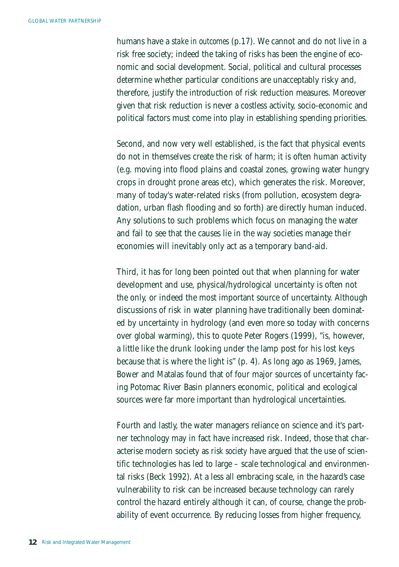humans have a *stake in outcomes* (p.17). We cannot and do not live in a risk free society; indeed the taking of risks has been the engine of economic and social development. Social, political and cultural processes determine whether particular conditions are unacceptably risky and, therefore, justify the introduction of risk reduction measures. Moreover given that risk reduction is never a costless activity, socio-economic and political factors must come into play in establishing spending priorities.

Second, and now very well established, is the fact that physical events do not in themselves create the risk of harm; it is often human activity (e.g. moving into flood plains and coastal zones, growing water hungry crops in drought prone areas etc), which generates the risk. Moreover, many of today's water-related risks (from pollution, ecosystem degradation, urban flash flooding and so forth) are directly human induced. Any solutions to such problems which focus on managing the water and fail to see that the causes lie in the way societies manage their economies will inevitably only act as a temporary band-aid.

Third, it has for long been pointed out that when planning for water development and use, physical/hydrological uncertainty is often not the only, or indeed the most important source of uncertainty. Although discussions of risk in water planning have traditionally been dominated by uncertainty in hydrology (and even more so today with concerns over global warming), this to quote Peter Rogers (1999), "is, however, a little like the drunk looking under the lamp post for his lost keys because that is where the light is" (p. 4). As long ago as 1969, James, Bower and Matalas found that of four major sources of uncertainty facing Potomac River Basin planners economic, political and ecological sources were far more important than hydrological uncertainties.

Fourth and lastly, the water managers reliance on science and it's partner technology may in fact have increased risk. Indeed, those that characterise modern society as *risk society* have argued that the use of scientific technologies has led to large – scale technological and environmental risks (Beck 1992). At a less all embracing scale, in the hazard's case vulnerability to risk can be increased because technology can rarely control the hazard entirely although it can, of course, change the probability of event occurrence. By reducing losses from higher frequency,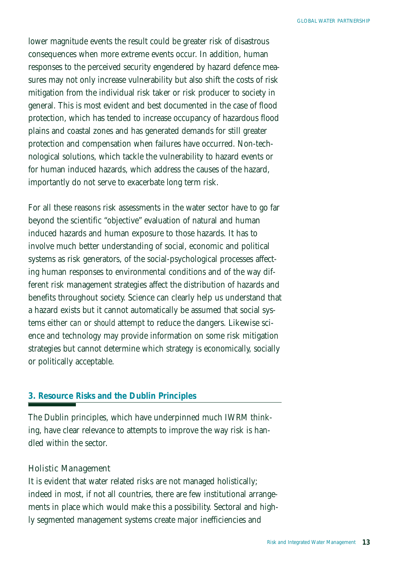lower magnitude events the result could be greater risk of disastrous consequences when more extreme events occur. In addition, human responses to the perceived security engendered by hazard defence measures may not only increase vulnerability but also shift the costs of risk mitigation from the individual risk taker or risk producer to society in general. This is most evident and best documented in the case of flood protection, which has tended to increase occupancy of hazardous flood plains and coastal zones and has generated demands for still greater protection and compensation when failures have occurred. Non-technological solutions, which tackle the vulnerability to hazard events or for human induced hazards, which address the causes of the hazard, importantly do not serve to exacerbate long term risk.

For all these reasons risk assessments in the water sector have to go far beyond the scientific "objective" evaluation of natural and human induced hazards and human exposure to those hazards. It has to involve much better understanding of social, economic and political systems as risk generators, of the social-psychological processes affecting human responses to environmental conditions and of the way different risk management strategies affect the distribution of hazards and benefits throughout society. Science can clearly help us understand that a hazard exists but it cannot automatically be assumed that social systems either *can* or *should* attempt to reduce the dangers. Likewise science and technology may provide information on some risk mitigation strategies but cannot determine which strategy is economically, socially or politically acceptable.

## *3. Resource Risks and the Dublin Principles*

The Dublin principles, which have underpinned much IWRM thinking, have clear relevance to attempts to improve the way risk is handled within the sector.

### Holistic Management

It is evident that water related risks are not managed holistically; indeed in most, if not all countries, there are few institutional arrangements in place which would make this a possibility. Sectoral and highly segmented management systems create major inefficiencies and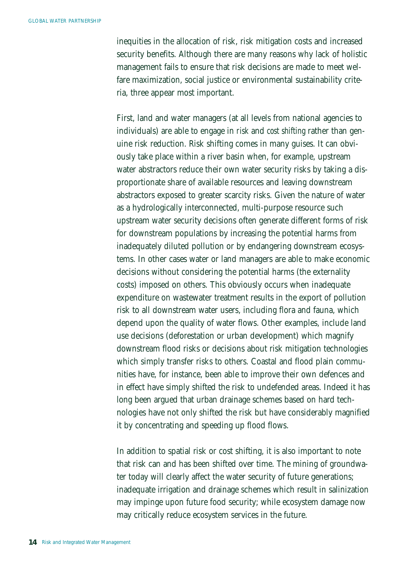inequities in the allocation of risk, risk mitigation costs and increased security benefits. Although there are many reasons why lack of holistic management fails to ensure that risk decisions are made to meet welfare maximization, social justice or environmental sustainability criteria, three appear most important.

First, land and water managers (at all levels from national agencies to individuals) are able to engage in *risk* and *cost shifting* rather than genuine risk reduction. Risk shifting comes in many guises. It can obviously take place within a river basin when, for example, upstream water abstractors reduce their own water security risks by taking a disproportionate share of available resources and leaving downstream abstractors exposed to greater scarcity risks. Given the nature of water as a hydrologically interconnected, multi-purpose resource such upstream water security decisions often generate different forms of risk for downstream populations by increasing the potential harms from inadequately diluted pollution or by endangering downstream ecosystems. In other cases water or land managers are able to make economic decisions without considering the potential harms (the externality costs) imposed on others. This obviously occurs when inadequate expenditure on wastewater treatment results in the export of pollution risk to all downstream water users, including flora and fauna, which depend upon the quality of water flows. Other examples, include land use decisions (deforestation or urban development) which magnify downstream flood risks or decisions about risk mitigation technologies which simply transfer risks to others. Coastal and flood plain communities have, for instance, been able to improve their own defences and in effect have simply shifted the risk to undefended areas. Indeed it has long been argued that urban drainage schemes based on hard technologies have not only shifted the risk but have considerably magnified it by concentrating and speeding up flood flows.

In addition to spatial risk or cost shifting, it is also important to note that risk can and has been shifted over time. The mining of groundwater today will clearly affect the water security of future generations; inadequate irrigation and drainage schemes which result in salinization may impinge upon future food security; while ecosystem damage now may critically reduce ecosystem services in the future.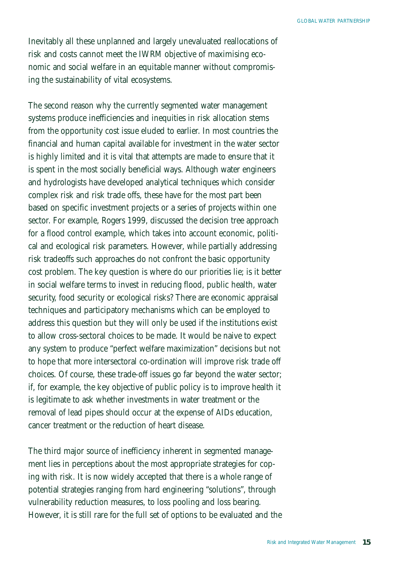Inevitably all these unplanned and largely unevaluated reallocations of risk and costs cannot meet the IWRM objective of maximising economic and social welfare in an equitable manner without compromising the sustainability of vital ecosystems.

The second reason why the currently segmented water management systems produce inefficiencies and inequities in risk allocation stems from the opportunity cost issue eluded to earlier. In most countries the financial and human capital available for investment in the water sector is highly limited and it is vital that attempts are made to ensure that it is spent in the most socially beneficial ways. Although water engineers and hydrologists have developed analytical techniques which consider complex risk and risk trade offs, these have for the most part been based on specific investment projects or a series of projects within one sector. For example, Rogers 1999, discussed the decision tree approach for a flood control example, which takes into account economic, political and ecological risk parameters. However, while partially addressing risk tradeoffs such approaches do not confront the basic opportunity cost problem. The key question is where do our priorities lie; is it better in social welfare terms to invest in reducing flood, public health, water security, food security or ecological risks? There are economic appraisal techniques and participatory mechanisms which can be employed to address this question but they will only be used if the institutions exist to allow cross-sectoral choices to be made. It would be naive to expect any system to produce "perfect welfare maximization" decisions but not to hope that more intersectoral co-ordination will improve risk trade off choices. Of course, these trade-off issues go far beyond the water sector; if, for example, the key objective of public policy is to improve health it is legitimate to ask whether investments in water treatment or the removal of lead pipes should occur at the expense of AIDs education, cancer treatment or the reduction of heart disease.

The third major source of inefficiency inherent in segmented management lies in perceptions about the most appropriate strategies for coping with risk. It is now widely accepted that there is a whole range of potential strategies ranging from hard engineering "solutions", through vulnerability reduction measures, to loss pooling and loss bearing. However, it is still rare for the full set of options to be evaluated and the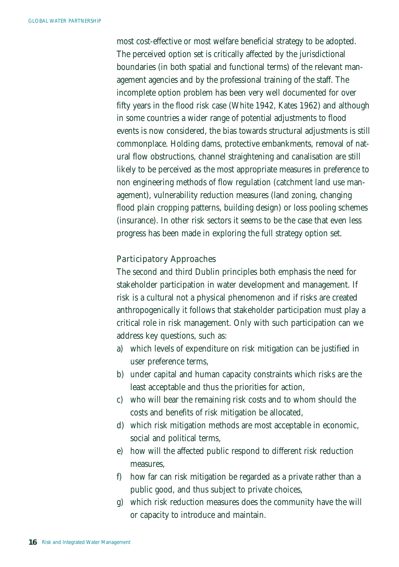most cost-effective or most welfare beneficial strategy to be adopted. The perceived option set is critically affected by the jurisdictional boundaries (in both spatial and functional terms) of the relevant management agencies and by the professional training of the staff. The incomplete option problem has been very well documented for over fifty years in the flood risk case (White 1942, Kates 1962) and although in some countries a wider range of potential adjustments to flood events is now considered, the bias towards structural adjustments is still commonplace. Holding dams, protective embankments, removal of natural flow obstructions, channel straightening and canalisation are still likely to be perceived as the most appropriate measures in preference to non engineering methods of flow regulation (catchment land use management), vulnerability reduction measures (land zoning, changing flood plain cropping patterns, building design) or loss pooling schemes (insurance). In other risk sectors it seems to be the case that even less progress has been made in exploring the full strategy option set.

### Participatory Approaches

The second and third Dublin principles both emphasis the need for stakeholder participation in water development and management. If risk is a cultural not a physical phenomenon and if risks are created anthropogenically it follows that stakeholder participation must play a critical role in risk management. Only with such participation can we address key questions, such as:

- a) which levels of expenditure on risk mitigation can be justified in user preference terms,
- b) under capital and human capacity constraints which risks are the least acceptable and thus the priorities for action,
- c) who will bear the remaining risk costs and to whom should the costs and benefits of risk mitigation be allocated,
- d) which risk mitigation methods are most acceptable in economic, social and political terms,
- e) how will the affected public respond to different risk reduction measures,
- f) how far can risk mitigation be regarded as a private rather than a public good, and thus subject to private choices,
- g) which risk reduction measures does the community have the will or capacity to introduce and maintain.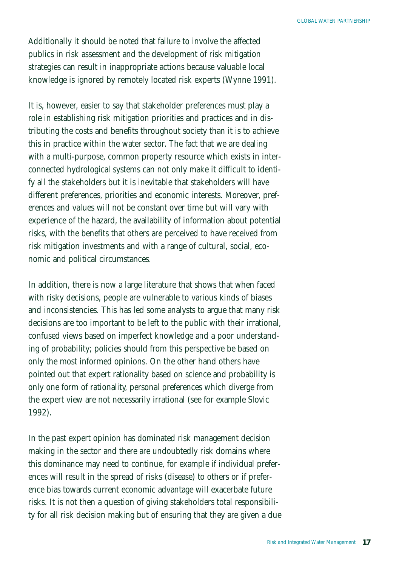Additionally it should be noted that failure to involve the affected publics in risk assessment and the development of risk mitigation strategies can result in inappropriate actions because valuable local knowledge is ignored by remotely located risk experts (Wynne 1991).

It is, however, easier to say that stakeholder preferences must play a role in establishing risk mitigation priorities and practices and in distributing the costs and benefits throughout society than it is to achieve this in practice within the water sector. The fact that we are dealing with a multi-purpose, common property resource which exists in interconnected hydrological systems can not only make it difficult to identify all the stakeholders but it is inevitable that stakeholders will have different preferences, priorities and economic interests. Moreover, preferences and values will not be constant over time but will vary with experience of the hazard, the availability of information about potential risks, with the benefits that others are perceived to have received from risk mitigation investments and with a range of cultural, social, economic and political circumstances.

In addition, there is now a large literature that shows that when faced with risky decisions, people are vulnerable to various kinds of biases and inconsistencies. This has led some analysts to argue that many risk decisions are too important to be left to the public with their irrational, confused views based on imperfect knowledge and a poor understanding of probability; policies should from this perspective be based on only the most informed opinions. On the other hand others have pointed out that expert rationality based on science and probability is only one form of rationality, personal preferences which diverge from the expert view are not necessarily irrational (see for example Slovic 1992).

In the past expert opinion has dominated risk management decision making in the sector and there are undoubtedly risk domains where this dominance may need to continue, for example if individual preferences will result in the spread of risks (disease) to others or if preference bias towards current economic advantage will exacerbate future risks. It is not then a question of giving stakeholders total responsibility for all risk decision making but of ensuring that they are given a due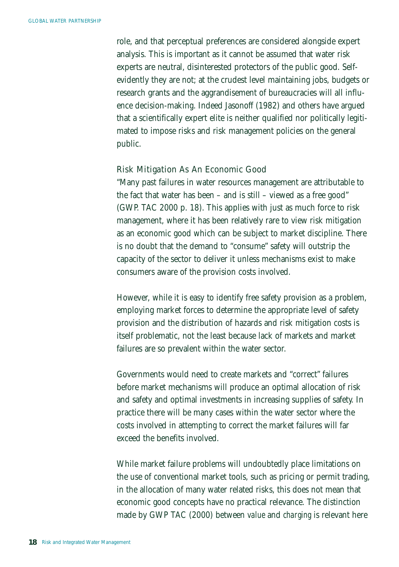role, and that perceptual preferences are considered alongside expert analysis. This is important as it cannot be assumed that water risk experts are neutral, disinterested protectors of the public good. Selfevidently they are not; at the crudest level maintaining jobs, budgets or research grants and the aggrandisement of bureaucracies will all influence decision-making. Indeed Jasonoff (1982) and others have argued that a scientifically expert elite is neither qualified nor politically legitimated to impose risks and risk management policies on the general public.

#### Risk Mitigation As An Economic Good

"Many past failures in water resources management are attributable to the fact that water has been – and is still – viewed as a free good" (GWP. TAC 2000 p. 18). This applies with just as much force to risk management, where it has been relatively rare to view risk mitigation as an economic good which can be subject to market discipline. There is no doubt that the demand to "consume" safety will outstrip the capacity of the sector to deliver it unless mechanisms exist to make consumers aware of the provision costs involved.

However, while it is easy to identify free safety provision as a problem, employing market forces to determine the appropriate level of safety provision and the distribution of hazards and risk mitigation costs is itself problematic, not the least because lack of markets and market failures are so prevalent within the water sector.

Governments would need to create markets and "correct" failures before market mechanisms will produce an optimal allocation of risk and safety and optimal investments in increasing supplies of safety. In practice there will be many cases within the water sector where the costs involved in attempting to correct the market failures will far exceed the benefits involved.

While market failure problems will undoubtedly place limitations on the use of conventional market tools, such as pricing or permit trading, in the allocation of many water related risks, this does not mean that economic good concepts have no practical relevance. The distinction made by GWP TAC (2000) between *value* and *charging* is relevant here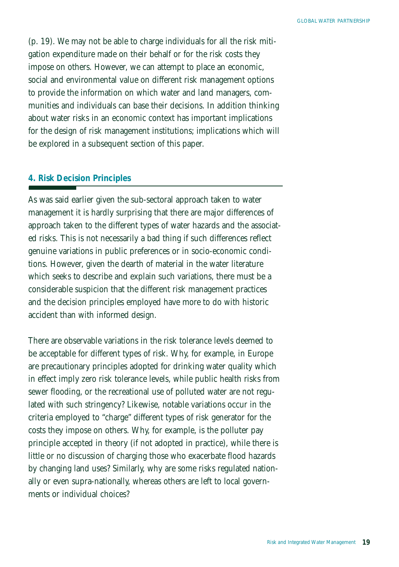(p. 19). We may not be able to charge individuals for all the risk mitigation expenditure made on their behalf or for the risk costs they impose on others. However, we can attempt to place an economic, social and environmental value on different risk management options to provide the information on which water and land managers, communities and individuals can base their decisions. In addition thinking about water risks in an economic context has important implications for the design of risk management institutions; implications which will be explored in a subsequent section of this paper.

### *4. Risk Decision Principles*

As was said earlier given the sub-sectoral approach taken to water management it is hardly surprising that there are major differences of approach taken to the different types of water hazards and the associated risks. This is not necessarily a bad thing if such differences reflect genuine variations in public preferences or in socio-economic conditions. However, given the dearth of material in the water literature which seeks to describe and explain such variations, there must be a considerable suspicion that the different risk management practices and the decision principles employed have more to do with historic accident than with informed design.

There are observable variations in the risk tolerance levels deemed to be acceptable for different types of risk. Why, for example, in Europe are precautionary principles adopted for drinking water quality which in effect imply zero risk tolerance levels, while public health risks from sewer flooding, or the recreational use of polluted water are not regulated with such stringency? Likewise, notable variations occur in the criteria employed to "charge" different types of risk generator for the costs they impose on others. Why, for example, is the polluter pay principle accepted in theory (if not adopted in practice), while there is little or no discussion of charging those who exacerbate flood hazards by changing land uses? Similarly, why are some risks regulated nationally or even supra-nationally, whereas others are left to local governments or individual choices?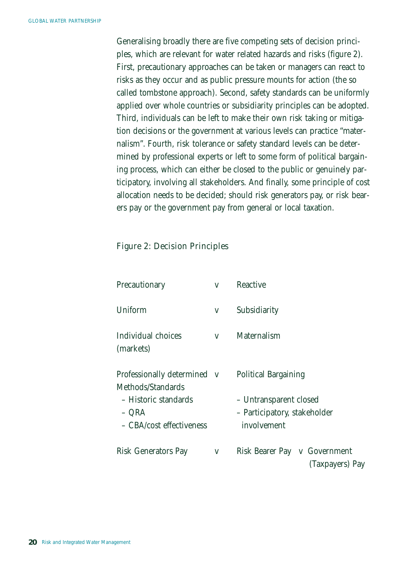Generalising broadly there are five competing sets of decision principles, which are relevant for water related hazards and risks (figure 2). First, precautionary approaches can be taken or managers can react to risks as they occur and as public pressure mounts for action (the so called tombstone approach). Second, safety standards can be uniformly applied over whole countries or subsidiarity principles can be adopted. Third, individuals can be left to make their own risk taking or mitigation decisions or the government at various levels can practice "maternalism". Fourth, risk tolerance or safety standard levels can be determined by professional experts or left to some form of political bargaining process, which can either be closed to the public or genuinely participatory, involving all stakeholders. And finally, some principle of cost allocation needs to be decided; should risk generators pay, or risk bearers pay or the government pay from general or local taxation.

### Figure 2: Decision Principles

| Precautionary                                                                                                 | $\vee$ | Reactive                                                                                             |
|---------------------------------------------------------------------------------------------------------------|--------|------------------------------------------------------------------------------------------------------|
| Uniform                                                                                                       | v      | Subsidiarity                                                                                         |
| Individual choices<br>(markets)                                                                               | $\vee$ | Maternalism                                                                                          |
| Professionally determined v<br>Methods/Standards<br>– Historic standards<br>– ORA<br>– CBA/cost effectiveness |        | <b>Political Bargaining</b><br>- Untransparent closed<br>- Participatory, stakeholder<br>involvement |
| Risk Generators Pay                                                                                           | v      | Risk Bearer Pay<br>v Government<br>(Taxpayers) Pay                                                   |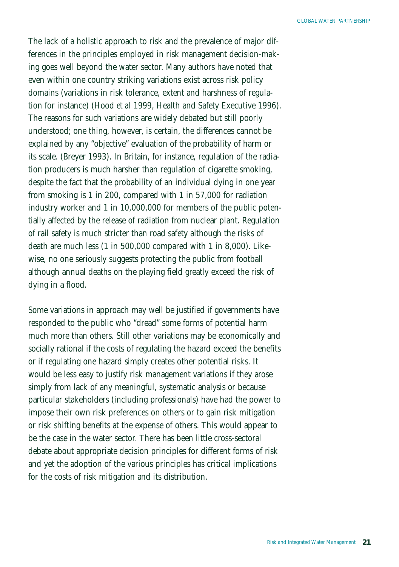The lack of a holistic approach to risk and the prevalence of major differences in the principles employed in risk management decision-making goes well beyond the water sector. Many authors have noted that even within one country striking variations exist across risk policy domains (variations in risk tolerance, extent and harshness of regulation for instance) (Hood *et al* 1999, Health and Safety Executive 1996). The reasons for such variations are widely debated but still poorly understood; one thing, however, is certain, the differences cannot be explained by any "objective" evaluation of the probability of harm or its scale. (Breyer 1993). In Britain, for instance, regulation of the radiation producers is much harsher than regulation of cigarette smoking, despite the fact that the probability of an individual dying in one year from smoking is 1 in 200, compared with 1 in 57,000 for radiation industry worker and 1 in 10,000,000 for members of the public potentially affected by the release of radiation from nuclear plant. Regulation of rail safety is much stricter than road safety although the risks of death are much less (1 in 500,000 compared with 1 in 8,000). Likewise, no one seriously suggests protecting the public from football although annual deaths on the playing field greatly exceed the risk of dying in a flood.

Some variations in approach may well be justified if governments have responded to the public who "dread" some forms of potential harm much more than others. Still other variations may be economically and socially rational if the costs of regulating the hazard exceed the benefits or if regulating one hazard simply creates other potential risks. It would be less easy to justify risk management variations if they arose simply from lack of any meaningful, systematic analysis or because particular stakeholders (including professionals) have had the power to impose their own risk preferences on others or to gain risk mitigation or risk shifting benefits at the expense of others. This would appear to be the case in the water sector. There has been little cross-sectoral debate about appropriate decision principles for different forms of risk and yet the adoption of the various principles has critical implications for the costs of risk mitigation and its distribution.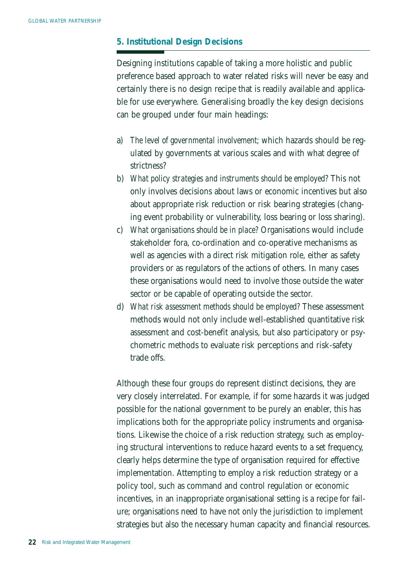## *5. Institutional Design Decisions*

Designing institutions capable of taking a more holistic and public preference based approach to water related risks will never be easy and certainly there is no design recipe that is readily available and applicable for use everywhere. Generalising broadly the key design decisions can be grouped under four main headings:

- a) *The level of governmental involvement;* which hazards should be regulated by governments at various scales and with what degree of strictness?
- b) *What policy strategies and instruments should be employed?* This not only involves decisions about laws or economic incentives but also about appropriate risk reduction or risk bearing strategies (changing event probability or vulnerability, loss bearing or loss sharing).
- c) *What organisations should be in place?* Organisations would include stakeholder fora, co-ordination and co-operative mechanisms as well as agencies with a direct risk mitigation role, either as safety providers or as regulators of the actions of others. In many cases these organisations would need to involve those outside the water sector or be capable of operating outside the sector.
- d) *What risk assessment methods should be employed?* These assessment methods would not only include well-established quantitative risk assessment and cost-benefit analysis, but also participatory or psychometric methods to evaluate risk perceptions and risk-safety trade offs.

Although these four groups do represent distinct decisions, they are very closely interrelated. For example, if for some hazards it was judged possible for the national government to be purely an enabler, this has implications both for the appropriate policy instruments and organisations. Likewise the choice of a risk reduction strategy, such as employing structural interventions to reduce hazard events to a set frequency, clearly helps determine the type of organisation required for effective implementation. Attempting to employ a risk reduction strategy or a policy tool, such as command and control regulation or economic incentives, in an inappropriate organisational setting is a recipe for failure; organisations need to have not only the jurisdiction to implement strategies but also the necessary human capacity and financial resources.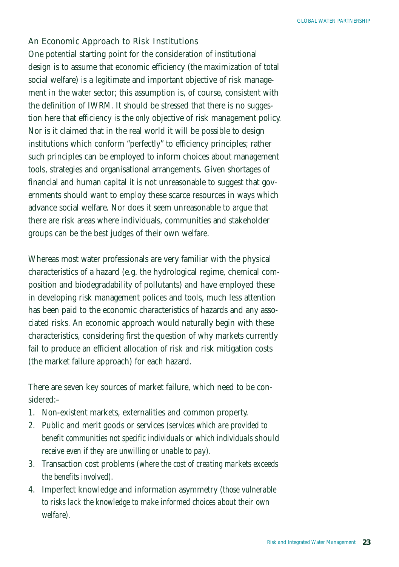### An Economic Approach to Risk Institutions

One potential starting point for the consideration of institutional design is to assume that economic efficiency (the maximization of total social welfare) is a legitimate and important objective of risk management in the water sector; this assumption is, of course, consistent with the definition of IWRM. It should be stressed that there is no suggestion here that efficiency is the *only* objective of risk management policy. Nor is it claimed that in the real world it will be possible to design institutions which conform "perfectly" to efficiency principles; rather such principles can be employed to inform choices about management tools, strategies and organisational arrangements. Given shortages of financial and human capital it is not unreasonable to suggest that governments should want to employ these scarce resources in ways which advance social welfare. Nor does it seem unreasonable to argue that there are risk areas where individuals, communities and stakeholder groups can be the best judges of their own welfare.

Whereas most water professionals are very familiar with the physical characteristics of a hazard (e.g. the hydrological regime, chemical composition and biodegradability of pollutants) and have employed these in developing risk management polices and tools, much less attention has been paid to the economic characteristics of hazards and any associated risks. An economic approach would naturally begin with these characteristics, considering first the question of why markets currently fail to produce an efficient allocation of risk and risk mitigation costs (the market failure approach) for each hazard.

There are seven key sources of market failure, which need to be considered:–

- 1. Non-existent markets, externalities and common property.
- 2. Public and merit goods or services *(services which are provided to benefit communities not specific individuals or which individuals should receive even if they are unwilling or unable to pay).*
- 3. Transaction cost problems *(where the cost of creating markets exceeds the benefits involved).*
- 4. Imperfect knowledge and information asymmetry *(those vulnerable to risks lack the knowledge to make informed choices about their own welfare).*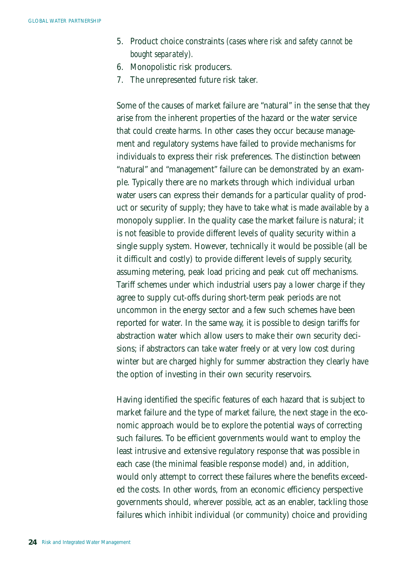- 5. Product choice constraints *(cases where risk and safety cannot be bought separately).*
- 6. Monopolistic risk producers.
- 7. The unrepresented future risk taker.

Some of the causes of market failure are "natural" in the sense that they arise from the inherent properties of the hazard or the water service that could create harms. In other cases they occur because management and regulatory systems have failed to provide mechanisms for individuals to express their risk preferences. The distinction between "natural" and "management" failure can be demonstrated by an example. Typically there are no markets through which individual urban water users can express their demands for a particular quality of product or security of supply; they have to take what is made available by a monopoly supplier. In the quality case the market failure is natural; it is not feasible to provide different levels of quality security within a single supply system. However, technically it would be possible (all be it difficult and costly) to provide different levels of supply security, assuming metering, peak load pricing and peak cut off mechanisms. Tariff schemes under which industrial users pay a lower charge if they agree to supply cut-offs during short-term peak periods are not uncommon in the energy sector and a few such schemes have been reported for water. In the same way, it is possible to design tariffs for abstraction water which allow users to make their own security decisions; if abstractors can take water freely or at very low cost during winter but are charged highly for summer abstraction they clearly have the option of investing in their own security reservoirs.

Having identified the specific features of each hazard that is subject to market failure and the type of market failure, the next stage in the economic approach would be to explore the potential ways of correcting such failures. To be efficient governments would want to employ the least intrusive and extensive regulatory response that was possible in each case (the minimal feasible response model) and, in addition, would only attempt to correct these failures where the benefits exceeded the costs. In other words, from an economic efficiency perspective governments should, *wherever possible,* act as an enabler, tackling those failures which inhibit individual (or community) choice and providing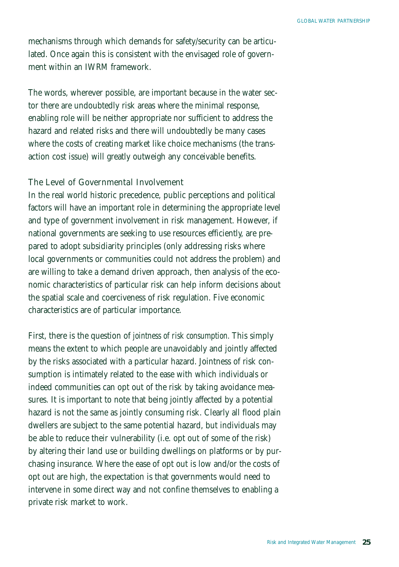mechanisms through which demands for safety/security can be articulated. Once again this is consistent with the envisaged role of government within an IWRM framework.

The words, wherever possible, are important because in the water sector there are undoubtedly risk areas where the minimal response, enabling role will be neither appropriate nor sufficient to address the hazard and related risks and there will undoubtedly be many cases where the costs of creating market like choice mechanisms (the transaction cost issue) will greatly outweigh any conceivable benefits.

### The Level of Governmental Involvement

In the real world historic precedence, public perceptions and political factors will have an important role in determining the appropriate level and type of government involvement in risk management. However, if national governments are seeking to use resources efficiently, are prepared to adopt subsidiarity principles (only addressing risks where local governments or communities could not address the problem) and are willing to take a demand driven approach, then analysis of the economic characteristics of particular risk can help inform decisions about the spatial scale and coerciveness of risk regulation. Five economic characteristics are of particular importance.

First, there is the question of *jointness of risk consumption.* This simply means the extent to which people are unavoidably and jointly affected by the risks associated with a particular hazard. Jointness of risk consumption is intimately related to the ease with which individuals or indeed communities can opt out of the risk by taking avoidance measures. It is important to note that being jointly affected by a potential hazard is not the same as jointly consuming risk. Clearly all flood plain dwellers are subject to the same potential hazard, but individuals may be able to reduce their vulnerability (i.e. opt out of some of the risk) by altering their land use or building dwellings on platforms or by purchasing insurance. Where the ease of opt out is low and/or the costs of opt out are high, the expectation is that governments would need to intervene in some direct way and not confine themselves to enabling a private risk market to work.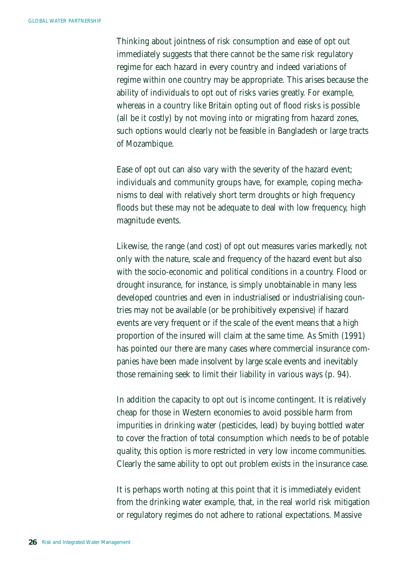Thinking about jointness of risk consumption and ease of opt out immediately suggests that there cannot be the same risk regulatory regime for each hazard in every country and indeed variations of regime within one country may be appropriate. This arises because the ability of individuals to opt out of risks varies greatly. For example, whereas in a country like Britain opting out of flood risks is possible (all be it costly) by not moving into or migrating from hazard zones, such options would clearly not be feasible in Bangladesh or large tracts of Mozambique.

Ease of opt out can also vary with the severity of the hazard event; individuals and community groups have, for example, coping mechanisms to deal with relatively short term droughts or high frequency floods but these may not be adequate to deal with low frequency, high magnitude events.

Likewise, the range (and cost) of opt out measures varies markedly, not only with the nature, scale and frequency of the hazard event but also with the socio-economic and political conditions in a country. Flood or drought insurance, for instance, is simply unobtainable in many less developed countries and even in industrialised or industrialising countries may not be available (or be prohibitively expensive) if hazard events are very frequent or if the scale of the event means that a high proportion of the insured will claim at the same time. As Smith (1991) has pointed our there are many cases where commercial insurance companies have been made insolvent by large scale events and inevitably those remaining seek to limit their liability in various ways (p. 94).

In addition the capacity to opt out is income contingent. It is relatively cheap for those in Western economies to avoid possible harm from impurities in drinking water (pesticides, lead) by buying bottled water to cover the fraction of total consumption which needs to be of potable quality, this option is more restricted in very low income communities. Clearly the same ability to opt out problem exists in the insurance case.

It is perhaps worth noting at this point that it is immediately evident from the drinking water example, that, in the real world risk mitigation or regulatory regimes do not adhere to rational expectations. Massive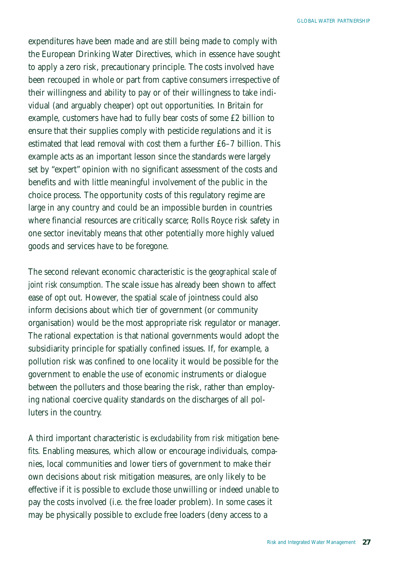expenditures have been made and are still being made to comply with the European Drinking Water Directives, which in essence have sought to apply a zero risk, precautionary principle. The costs involved have been recouped in whole or part from captive consumers irrespective of their willingness and ability to pay or of their willingness to take individual (and arguably cheaper) opt out opportunities. In Britain for example, customers have had to fully bear costs of some £2 billion to ensure that their supplies comply with pesticide regulations and it is estimated that lead removal with cost them a further £6–7 billion. This example acts as an important lesson since the standards were largely set by "expert" opinion with no significant assessment of the costs and benefits and with little meaningful involvement of the public in the choice process. The opportunity costs of this regulatory regime are large in any country and could be an impossible burden in countries where financial resources are critically scarce; Rolls Royce risk safety in one sector inevitably means that other potentially more highly valued goods and services have to be foregone.

The second relevant economic characteristic is the *geographical scale of joint risk consumption.* The scale issue has already been shown to affect ease of opt out. However, the spatial scale of jointness could also inform decisions about which tier of government (or community organisation) would be the most appropriate risk regulator or manager. The rational expectation is that national governments would adopt the subsidiarity principle for spatially confined issues. If, for example, a pollution risk was confined to one locality it would be possible for the government to enable the use of economic instruments or dialogue between the polluters and those bearing the risk, rather than employing national coercive quality standards on the discharges of all polluters in the country.

A third important characteristic is *excludability from risk mitigation benefits.* Enabling measures, which allow or encourage individuals, companies, local communities and lower tiers of government to make their own decisions about risk mitigation measures, are only likely to be effective if it is possible to exclude those unwilling or indeed unable to pay the costs involved (i.e. the free loader problem). In some cases it may be physically possible to exclude free loaders (deny access to a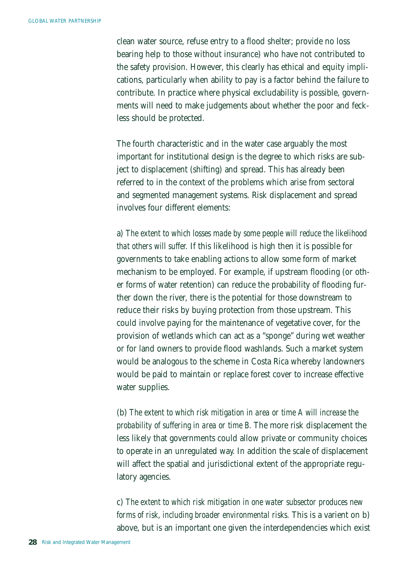clean water source, refuse entry to a flood shelter; provide no loss bearing help to those without insurance) who have not contributed to the safety provision. However, this clearly has ethical and equity implications, particularly when ability to pay is a factor behind the failure to contribute. In practice where physical excludability is possible, governments will need to make judgements about whether the poor and feckless should be protected.

The fourth characteristic and in the water case arguably the most important for institutional design is the degree to which risks are subject to displacement (shifting) and spread. This has already been referred to in the context of the problems which arise from sectoral and segmented management systems. Risk displacement and spread involves four different elements:

a) *The extent to which losses made by some people will reduce the likelihood that others will suffer.* If this likelihood is high then it is possible for governments to take enabling actions to allow some form of market mechanism to be employed. For example, if upstream flooding (or other forms of water retention) can reduce the probability of flooding further down the river, there is the potential for those downstream to reduce their risks by buying protection from those upstream. This could involve paying for the maintenance of vegetative cover, for the provision of wetlands which can act as a "sponge" during wet weather or for land owners to provide flood washlands. Such a market system would be analogous to the scheme in Costa Rica whereby landowners would be paid to maintain or replace forest cover to increase effective water supplies.

(b) *The extent to which risk mitigation in area or time A will increase the probability of suffering in area or time B.* The more risk displacement the less likely that governments could allow private or community choices to operate in an unregulated way. In addition the scale of displacement will affect the spatial and jurisdictional extent of the appropriate regulatory agencies.

c) *The extent to which risk mitigation in one water subsector produces new forms of risk, including broader environmental risks.* This is a varient on b) above, but is an important one given the interdependencies which exist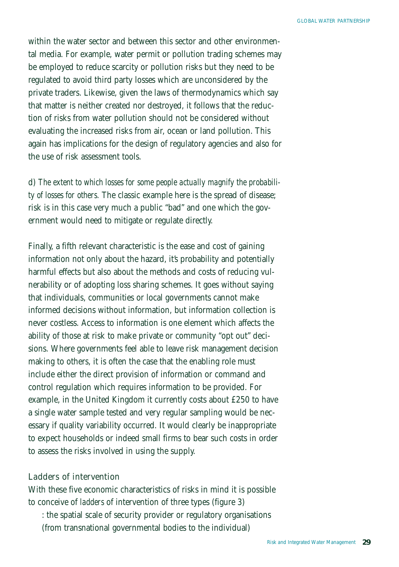within the water sector and between this sector and other environmental media. For example, water permit or pollution trading schemes may be employed to reduce scarcity or pollution risks but they need to be regulated to avoid third party losses which are unconsidered by the private traders. Likewise, given the laws of thermodynamics which say that matter is neither created nor destroyed, it follows that the reduction of risks from water pollution should not be considered without evaluating the increased risks from air, ocean or land pollution. This again has implications for the design of regulatory agencies and also for the use of risk assessment tools.

d) *The extent to which losses for some people actually magnify the probability of losses for others.* The classic example here is the spread of disease; risk is in this case very much a public "bad" and one which the government would need to mitigate or regulate directly.

Finally, a fifth relevant characteristic is the ease and cost of gaining information not only about the hazard, it's probability and potentially harmful effects but also about the methods and costs of reducing vulnerability or of adopting loss sharing schemes. It goes without saying that individuals, communities or local governments cannot make informed decisions without information, but information collection is never costless. Access to information is one element which affects the ability of those at risk to make private or community "opt out" decisions. Where governments feel able to leave risk management decision making to others, it is often the case that the enabling role must include either the direct provision of information or command and control regulation which requires information to be provided. For example, in the United Kingdom it currently costs about £250 to have a single water sample tested and very regular sampling would be necessary if quality variability occurred. It would clearly be inappropriate to expect households or indeed small firms to bear such costs in order to assess the risks involved in using the supply.

#### Ladders of intervention

With these five economic characteristics of risks in mind it is possible to conceive of *ladders* of intervention of three types (figure 3)

: the spatial scale of security provider or regulatory organisations (from transnational governmental bodies to the individual)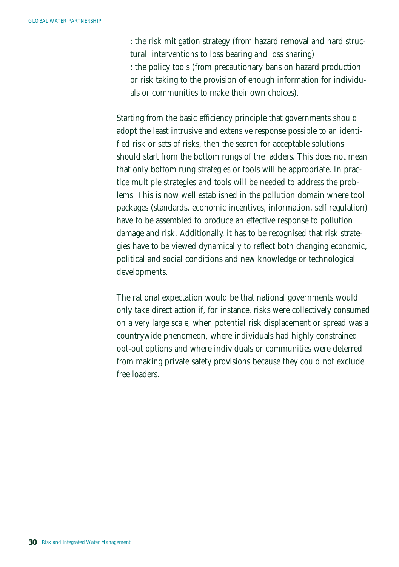: the risk mitigation strategy (from hazard removal and hard structural interventions to loss bearing and loss sharing) : the policy tools (from precautionary bans on hazard production or risk taking to the provision of enough information for individuals or communities to make their own choices).

Starting from the basic efficiency principle that governments should adopt the least intrusive and extensive response possible to an identified risk or sets of risks, then the search for acceptable solutions should start from the bottom rungs of the ladders. This does not mean that only bottom rung strategies or tools will be appropriate. In practice multiple strategies and tools will be needed to address the problems. This is now well established in the pollution domain where tool packages (standards, economic incentives, information, self regulation) have to be assembled to produce an effective response to pollution damage and risk. Additionally, it has to be recognised that risk strategies have to be viewed dynamically to reflect both changing economic, political and social conditions and new knowledge or technological developments.

The rational expectation would be that national governments would only take direct action if, for instance, risks were collectively consumed on a very large scale, when potential risk displacement or spread was a countrywide phenomeon, where individuals had highly constrained opt-out options and where individuals or communities were deterred from making private safety provisions because they could not exclude free loaders.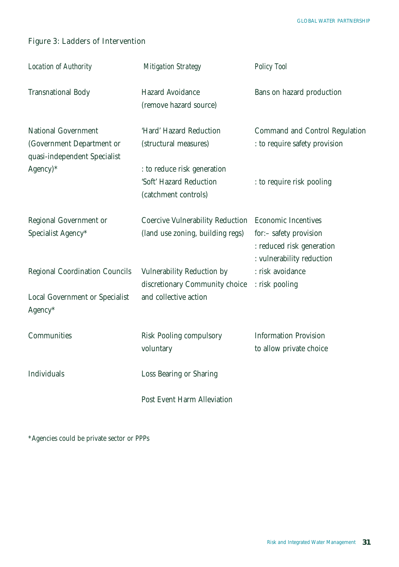# Figure 3: Ladders of Intervention

| Location of Authority                                                                   | <b>Mitigation Strategy</b>                                                     | Policy Tool                                                                                                    |
|-----------------------------------------------------------------------------------------|--------------------------------------------------------------------------------|----------------------------------------------------------------------------------------------------------------|
| <b>Transnational Body</b>                                                               | Hazard Avoidance<br>(remove hazard source)                                     | Bans on hazard production                                                                                      |
| <b>National Government</b><br>(Government Department or<br>quasi-independent Specialist | 'Hard' Hazard Reduction<br>(structural measures)                               | Command and Control Regulation<br>: to require safety provision                                                |
| Agency)*                                                                                | : to reduce risk generation<br>'Soft' Hazard Reduction<br>(catchment controls) | : to require risk pooling                                                                                      |
| Regional Government or<br>Specialist Agency*                                            | Coercive Vulnerability Reduction<br>(land use zoning, building regs)           | <b>Economic Incentives</b><br>for:- safety provision<br>: reduced risk generation<br>: vulnerability reduction |
| <b>Regional Coordination Councils</b>                                                   | Vulnerability Reduction by<br>discretionary Community choice                   | : risk avoidance<br>: risk pooling                                                                             |
| Local Government or Specialist<br>Agency*                                               | and collective action                                                          |                                                                                                                |
| Communities                                                                             | Risk Pooling compulsory<br>voluntary                                           | <b>Information Provision</b><br>to allow private choice                                                        |
| Individuals                                                                             | Loss Bearing or Sharing                                                        |                                                                                                                |
|                                                                                         | Post Event Harm Alleviation                                                    |                                                                                                                |

\*Agencies could be private sector or PPPs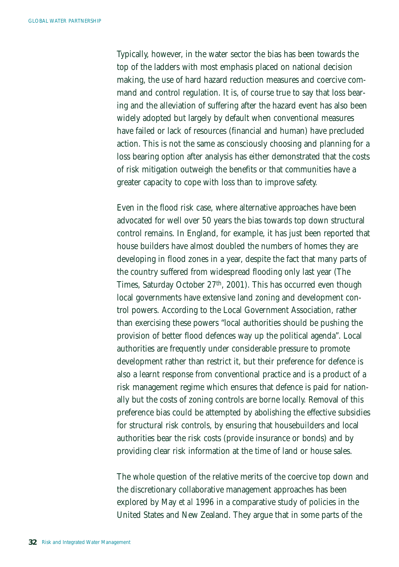Typically, however, in the water sector the bias has been towards the top of the ladders with most emphasis placed on national decision making, the use of hard hazard reduction measures and coercive command and control regulation. It is, of course true to say that loss bearing and the alleviation of suffering after the hazard event has also been widely adopted but largely by default when conventional measures have failed or lack of resources (financial and human) have precluded action. This is not the same as consciously choosing and planning for a loss bearing option after analysis has either demonstrated that the costs of risk mitigation outweigh the benefits or that communities have a greater capacity to cope with loss than to improve safety.

Even in the flood risk case, where alternative approaches have been advocated for well over 50 years the bias towards top down structural control remains. In England, for example, it has just been reported that house builders have almost doubled the numbers of homes they are developing in flood zones in a year, despite the fact that many parts of the country suffered from widespread flooding only last year (The Times, Saturday October 27<sup>th</sup>, 2001). This has occurred even though local governments have extensive land zoning and development control powers. According to the Local Government Association, rather than exercising these powers "local authorities should be pushing the provision of better flood defences way up the political agenda". Local authorities are frequently under considerable pressure to promote development rather than restrict it, but their preference for defence is also a learnt response from conventional practice and is a product of a risk management regime which ensures that defence is paid for nationally but the costs of zoning controls are borne locally. Removal of this preference bias could be attempted by abolishing the effective subsidies for structural risk controls, by ensuring that housebuilders and local authorities bear the risk costs (provide insurance or bonds) and by providing clear risk information at the time of land or house sales.

The whole question of the relative merits of the coercive top down and the discretionary collaborative management approaches has been explored by May *et al* 1996 in a comparative study of policies in the United States and New Zealand. They argue that in some parts of the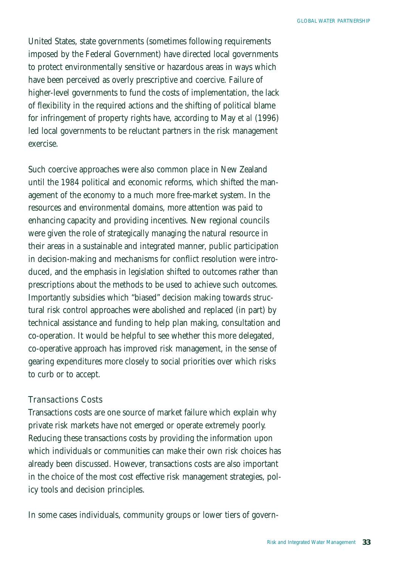United States, state governments (sometimes following requirements imposed by the Federal Government) have directed local governments to protect environmentally sensitive or hazardous areas in ways which have been perceived as overly prescriptive and coercive. Failure of higher-level governments to fund the costs of implementation, the lack of flexibility in the required actions and the shifting of political blame for infringement of property rights have, according to May *et al* (1996) led local governments to be reluctant partners in the risk management exercise.

Such coercive approaches were also common place in New Zealand until the 1984 political and economic reforms, which shifted the management of the economy to a much more free-market system. In the resources and environmental domains, more attention was paid to enhancing capacity and providing incentives. New regional councils were given the role of strategically managing the natural resource in their areas in a sustainable and integrated manner, public participation in decision-making and mechanisms for conflict resolution were introduced, and the emphasis in legislation shifted to outcomes rather than prescriptions about the methods to be used to achieve such outcomes. Importantly subsidies which "biased" decision making towards structural risk control approaches were abolished and replaced (in part) by technical assistance and funding to help plan making, consultation and co-operation. It would be helpful to see whether this more delegated, co-operative approach has improved risk management, in the sense of gearing expenditures more closely to social priorities over which risks to curb or to accept.

### Transactions Costs

Transactions costs are one source of market failure which explain why private risk markets have not emerged or operate extremely poorly. Reducing these transactions costs by providing the information upon which individuals or communities can make their own risk choices has already been discussed. However, transactions costs are also important in the choice of the most cost effective risk management strategies, policy tools and decision principles.

In some cases individuals, community groups or lower tiers of govern-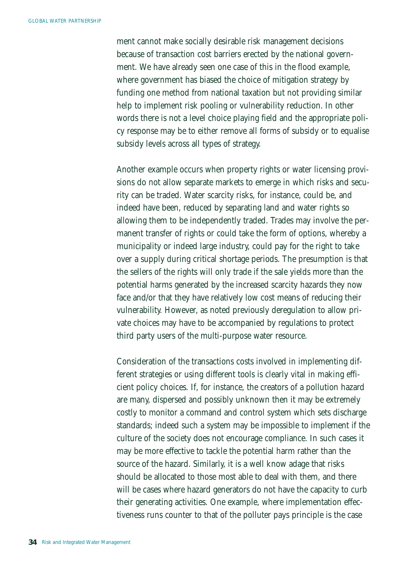ment cannot make socially desirable risk management decisions because of transaction cost barriers erected by the national government. We have already seen one case of this in the flood example, where government has biased the choice of mitigation strategy by funding one method from national taxation but not providing similar help to implement risk pooling or vulnerability reduction. In other words there is not a level choice playing field and the appropriate policy response may be to either remove all forms of subsidy or to equalise subsidy levels across all types of strategy.

Another example occurs when property rights or water licensing provisions do not allow separate markets to emerge in which risks and security can be traded. Water scarcity risks, for instance, could be, and indeed have been, reduced by separating land and water rights so allowing them to be independently traded. Trades may involve the permanent transfer of rights or could take the form of options, whereby a municipality or indeed large industry, could pay for the right to take over a supply during critical shortage periods. The presumption is that the sellers of the rights will only trade if the sale yields more than the potential harms generated by the increased scarcity hazards they now face and/or that they have relatively low cost means of reducing their vulnerability. However, as noted previously deregulation to allow private choices may have to be accompanied by regulations to protect third party users of the multi-purpose water resource.

Consideration of the transactions costs involved in implementing different strategies or using different tools is clearly vital in making efficient policy choices. If, for instance, the creators of a pollution hazard are many, dispersed and possibly unknown then it may be extremely costly to monitor a command and control system which sets discharge standards; indeed such a system may be impossible to implement if the culture of the society does not encourage compliance. In such cases it may be more effective to tackle the potential harm rather than the source of the hazard. Similarly, it is a well know adage that risks should be allocated to those most able to deal with them, and there will be cases where hazard generators do not have the capacity to curb their generating activities. One example, where implementation effectiveness runs counter to that of the polluter pays principle is the case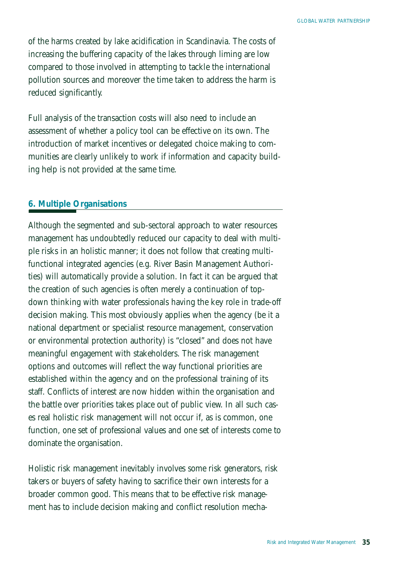of the harms created by lake acidification in Scandinavia. The costs of increasing the buffering capacity of the lakes through liming are low compared to those involved in attempting to tackle the international pollution sources and moreover the time taken to address the harm is reduced significantly.

Full analysis of the transaction costs will also need to include an assessment of whether a policy tool can be effective on its own. The introduction of market incentives or delegated choice making to communities are clearly unlikely to work if information and capacity building help is not provided at the same time.

### *6. Multiple Organisations*

Although the segmented and sub-sectoral approach to water resources management has undoubtedly reduced our capacity to deal with multiple risks in an holistic manner; it does not follow that creating multifunctional integrated agencies (e.g. River Basin Management Authorities) will automatically provide a solution. In fact it can be argued that the creation of such agencies is often merely a continuation of topdown thinking with water professionals having the key role in trade-off decision making. This most obviously applies when the agency (be it a national department or specialist resource management, conservation or environmental protection authority) is "closed" and does not have meaningful engagement with stakeholders. The risk management options and outcomes will reflect the way functional priorities are established within the agency and on the professional training of its staff. Conflicts of interest are now hidden within the organisation and the battle over priorities takes place out of public view. In all such cases real holistic risk management will not occur if, as is common, one function, one set of professional values and one set of interests come to dominate the organisation.

Holistic risk management inevitably involves some risk generators, risk takers or buyers of safety having to sacrifice their own interests for a broader common good. This means that to be effective risk management has to include decision making and conflict resolution mecha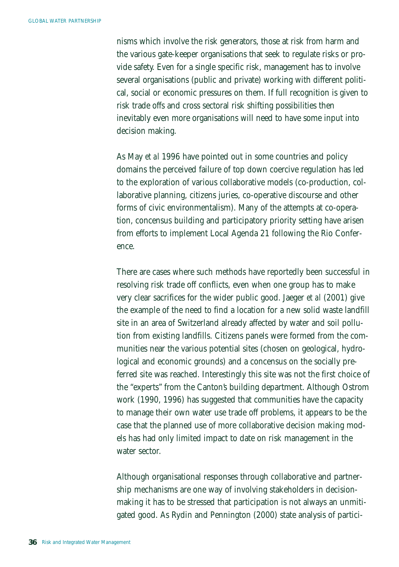nisms which involve the risk generators, those at risk from harm and the various gate-keeper organisations that seek to regulate risks or provide safety. Even for a single specific risk, management has to involve several organisations (public and private) working with different political, social or economic pressures on them. If full recognition is given to risk trade offs and cross sectoral risk shifting possibilities then inevitably even more organisations will need to have some input into decision making.

As May *et al* 1996 have pointed out in some countries and policy domains the perceived failure of top down coercive regulation has led to the exploration of various collaborative models (co-production, collaborative planning, citizens juries, co-operative discourse and other forms of civic environmentalism). Many of the attempts at co-operation, concensus building and participatory priority setting have arisen from efforts to implement Local Agenda 21 following the Rio Conference.

There are cases where such methods have reportedly been successful in resolving risk trade off conflicts, even when one group has to make very clear sacrifices for the wider public good. Jaeger *et al* (2001) give the example of the need to find a location for a new solid waste landfill site in an area of Switzerland already affected by water and soil pollution from existing landfills. Citizens panels were formed from the communities near the various potential sites (chosen on geological, hydrological and economic grounds) and a concensus on the socially preferred site was reached. Interestingly this site was not the first choice of the "experts" from the Canton's building department. Although Ostrom work (1990, 1996) has suggested that communities have the capacity to manage their own water use trade off problems, it appears to be the case that the planned use of more collaborative decision making models has had only limited impact to date on risk management in the water sector.

Although organisational responses through collaborative and partnership mechanisms are one way of involving stakeholders in decisionmaking it has to be stressed that participation is not always an unmitigated good. As Rydin and Pennington (2000) state analysis of partici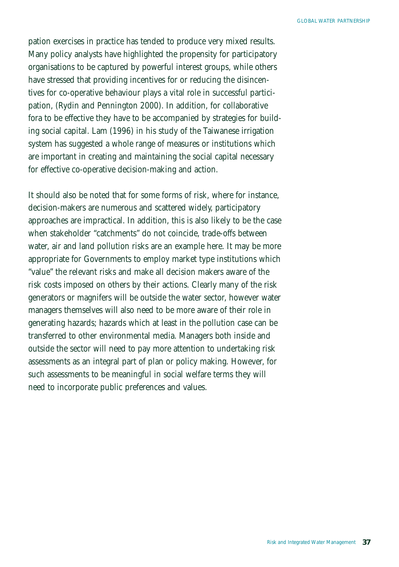pation exercises in practice has tended to produce very mixed results. Many policy analysts have highlighted the propensity for participatory organisations to be captured by powerful interest groups, while others have stressed that providing incentives for or reducing the disincentives for co-operative behaviour plays a vital role in successful participation, (Rydin and Pennington 2000). In addition, for collaborative fora to be effective they have to be accompanied by strategies for building social capital. Lam (1996) in his study of the Taiwanese irrigation system has suggested a whole range of measures or institutions which are important in creating and maintaining the social capital necessary for effective co-operative decision-making and action.

It should also be noted that for some forms of risk, where for instance, decision-makers are numerous and scattered widely, participatory approaches are impractical. In addition, this is also likely to be the case when stakeholder "catchments" do not coincide, trade-offs between water, air and land pollution risks are an example here. It may be more appropriate for Governments to employ market type institutions which "value" the relevant risks and make all decision makers aware of the risk costs imposed on others by their actions. Clearly many of the risk generators or magnifers will be outside the water sector, however water managers themselves will also need to be more aware of their role in generating hazards; hazards which at least in the pollution case can be transferred to other environmental media. Managers both inside and outside the sector will need to pay more attention to undertaking risk assessments as an integral part of plan or policy making. However, for such assessments to be meaningful in social welfare terms they will need to incorporate public preferences and values.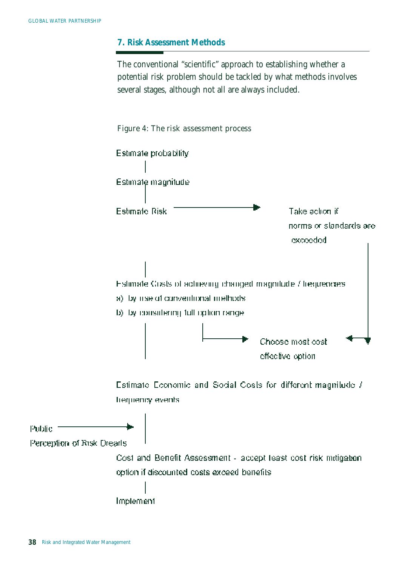## *7. Risk Assessment Methods*

The conventional "scientific" approach to establishing whether a potential risk problem should be tackled by what methods involves several stages, although not all are always included.



Estimate Economic and Social Costs for different magnitude / trequency events.

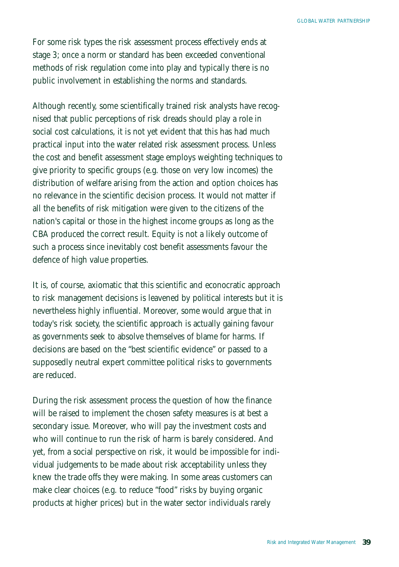For some risk types the risk assessment process effectively ends at stage 3; once a norm or standard has been exceeded conventional methods of risk regulation come into play and typically there is no public involvement in establishing the norms and standards.

Although recently, some scientifically trained risk analysts have recognised that public perceptions of risk dreads should play a role in social cost calculations, it is not yet evident that this has had much practical input into the water related risk assessment process. Unless the cost and benefit assessment stage employs weighting techniques to give priority to specific groups (e.g. those on very low incomes) the distribution of welfare arising from the action and option choices has no relevance in the scientific decision process. It would not matter if all the benefits of risk mitigation were given to the citizens of the nation's capital or those in the highest income groups as long as the CBA produced the correct result. Equity is not a likely outcome of such a process since inevitably cost benefit assessments favour the defence of high value properties.

It is, of course, axiomatic that this scientific and econocratic approach to risk management decisions is leavened by political interests but it is nevertheless highly influential. Moreover, some would argue that in today's risk society, the scientific approach is actually gaining favour as governments seek to absolve themselves of blame for harms. If decisions are based on the "best scientific evidence" or passed to a supposedly neutral expert committee political risks to governments are reduced.

During the risk assessment process the question of how the finance will be raised to implement the chosen safety measures is at best a secondary issue. Moreover, who will pay the investment costs and who will continue to run the risk of harm is barely considered. And yet, from a social perspective on risk, it would be impossible for individual judgements to be made about risk acceptability unless they knew the trade offs they were making. In some areas customers can make clear choices (e.g. to reduce "food" risks by buying organic products at higher prices) but in the water sector individuals rarely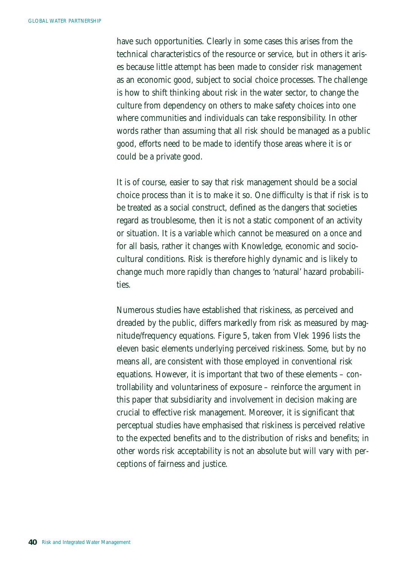have such opportunities. Clearly in some cases this arises from the technical characteristics of the resource or service, but in others it arises because little attempt has been made to consider risk management as an economic good, subject to social choice processes. The challenge is how to shift thinking about risk in the water sector, to change the culture from dependency on others to make safety choices into one where communities and individuals can take responsibility. In other words rather than assuming that all risk should be managed as a public good, efforts need to be made to identify those areas where it is or could be a private good.

It is of course, easier to say that risk management should be a social choice process than it is to make it so. One difficulty is that if risk is to be treated as a social construct, defined as the dangers that societies regard as troublesome, then it is not a static component of an activity or situation. It is a variable which cannot be measured on a once and for all basis, rather it changes with Knowledge, economic and sociocultural conditions. Risk is therefore highly dynamic and is likely to change much more rapidly than changes to 'natural' hazard probabilities.

Numerous studies have established that riskiness, as perceived and dreaded by the public, differs markedly from risk as measured by magnitude/frequency equations. Figure 5, taken from Vlek 1996 lists the eleven basic elements underlying perceived riskiness. Some, but by no means all, are consistent with those employed in conventional risk equations. However, it is important that two of these elements – controllability and voluntariness of exposure – reinforce the argument in this paper that subsidiarity and involvement in decision making are crucial to effective risk management. Moreover, it is significant that perceptual studies have emphasised that riskiness is perceived relative to the expected benefits and to the distribution of risks and benefits; in other words risk acceptability is not an absolute but will vary with perceptions of fairness and justice.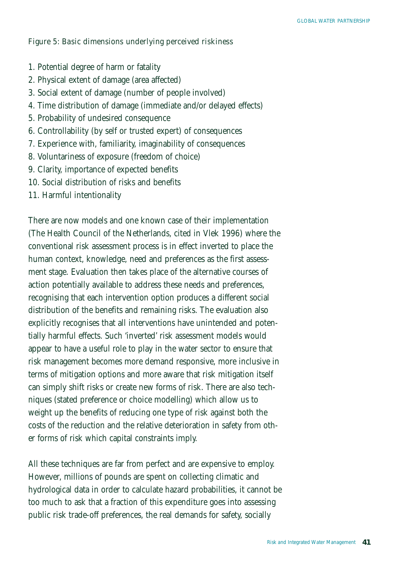Figure 5: Basic dimensions underlying perceived riskiness

- 1. Potential degree of harm or fatality
- 2. Physical extent of damage (area affected)
- 3. Social extent of damage (number of people involved)
- 4. Time distribution of damage (immediate and/or delayed effects)
- 5. Probability of undesired consequence
- 6. Controllability (by self or trusted expert) of consequences
- 7. Experience with, familiarity, imaginability of consequences
- 8. Voluntariness of exposure (freedom of choice)
- 9. Clarity, importance of expected benefits
- 10. Social distribution of risks and benefits
- 11. Harmful intentionality

There are now models and one known case of their implementation (The Health Council of the Netherlands, cited in Vlek 1996) where the conventional risk assessment process is in effect inverted to place the human context, knowledge, need and preferences as the first assessment stage. Evaluation then takes place of the alternative courses of action potentially available to address these needs and preferences, recognising that each intervention option produces a different social distribution of the benefits and remaining risks. The evaluation also explicitly recognises that all interventions have unintended and potentially harmful effects. Such 'inverted' risk assessment models would appear to have a useful role to play in the water sector to ensure that risk management becomes more demand responsive, more inclusive in terms of mitigation options and more aware that risk mitigation itself can simply shift risks or create new forms of risk. There are also techniques (stated preference or choice modelling) which allow us to weight up the benefits of reducing one type of risk against both the costs of the reduction and the relative deterioration in safety from other forms of risk which capital constraints imply.

All these techniques are far from perfect and are expensive to employ. However, millions of pounds are spent on collecting climatic and hydrological data in order to calculate hazard probabilities, it cannot be too much to ask that a fraction of this expenditure goes into assessing public risk trade-off preferences, the real demands for safety, socially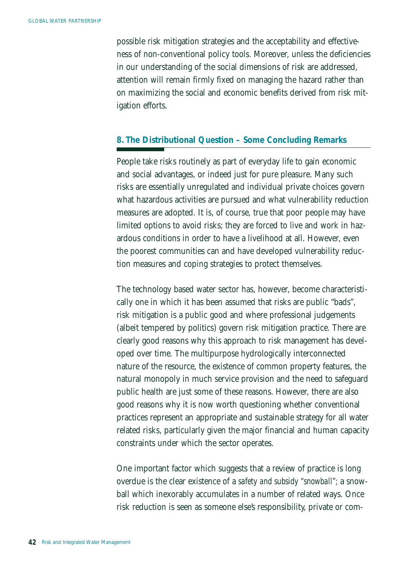possible risk mitigation strategies and the acceptability and effectiveness of non-conventional policy tools. Moreover, unless the deficiencies in our understanding of the social dimensions of risk are addressed, attention will remain firmly fixed on managing the hazard rather than on maximizing the social and economic benefits derived from risk mitigation efforts.

### *8. The Distributional Question – Some Concluding Remarks*

People take risks routinely as part of everyday life to gain economic and social advantages, or indeed just for pure pleasure. Many such risks are essentially unregulated and individual private choices govern what hazardous activities are pursued and what vulnerability reduction measures are adopted. It is, of course, true that poor people may have limited options to avoid risks; they are forced to live and work in hazardous conditions in order to have a livelihood at all. However, even the poorest communities can and have developed vulnerability reduction measures and coping strategies to protect themselves.

The technology based water sector has, however, become characteristically one in which it has been assumed that risks are public "bads", risk mitigation is a public good and where professional judgements (albeit tempered by politics) govern risk mitigation practice. There are clearly good reasons why this approach to risk management has developed over time. The multipurpose hydrologically interconnected nature of the resource, the existence of common property features, the natural monopoly in much service provision and the need to safeguard public health are just some of these reasons. However, there are also good reasons why it is now worth questioning whether conventional practices represent an appropriate and sustainable strategy for all water related risks, particularly given the major financial and human capacity constraints under which the sector operates.

One important factor which suggests that a review of practice is long overdue is the clear existence of a *safety and subsidy "snowball";* a snowball which inexorably accumulates in a number of related ways. Once risk reduction is seen as someone else's responsibility, private or com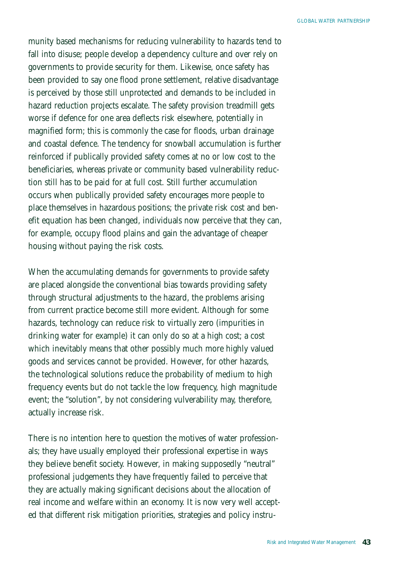munity based mechanisms for reducing vulnerability to hazards tend to fall into disuse; people develop a dependency culture and over rely on governments to provide security for them. Likewise, once safety has been provided to say one flood prone settlement, relative disadvantage is perceived by those still unprotected and demands to be included in hazard reduction projects escalate. The safety provision treadmill gets worse if defence for one area deflects risk elsewhere, potentially in magnified form; this is commonly the case for floods, urban drainage and coastal defence. The tendency for snowball accumulation is further reinforced if publically provided safety comes at no or low cost to the beneficiaries, whereas private or community based vulnerability reduction still has to be paid for at full cost. Still further accumulation occurs when publically provided safety encourages more people to place themselves in hazardous positions; the private risk cost and benefit equation has been changed, individuals now perceive that they can, for example, occupy flood plains and gain the advantage of cheaper housing without paying the risk costs.

When the accumulating demands for governments to provide safety are placed alongside the conventional bias towards providing safety through structural adjustments to the hazard, the problems arising from current practice become still more evident. Although for some hazards, technology can reduce risk to virtually zero (impurities in drinking water for example) it can only do so at a high cost; a cost which inevitably means that other possibly much more highly valued goods and services cannot be provided. However, for other hazards, the technological solutions reduce the probability of medium to high frequency events but do not tackle the low frequency, high magnitude event; the "solution", by not considering vulverability may, therefore, actually increase risk.

There is no intention here to question the motives of water professionals; they have usually employed their professional expertise in ways they believe benefit society. However, in making supposedly "neutral" professional judgements they have frequently failed to perceive that they are actually making significant decisions about the allocation of real income and welfare within an economy. It is now very well accepted that different risk mitigation priorities, strategies and policy instru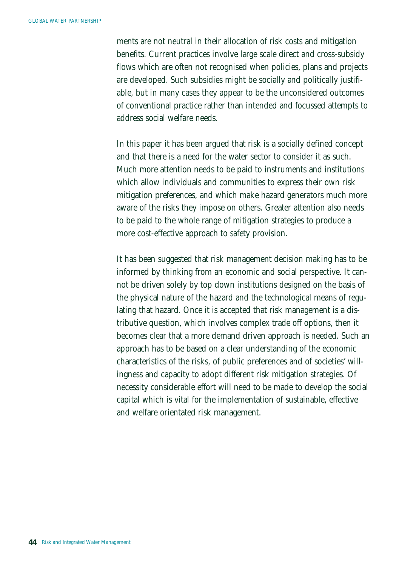ments are not neutral in their allocation of risk costs and mitigation benefits. Current practices involve large scale direct and cross-subsidy flows which are often not recognised when policies, plans and projects are developed. Such subsidies might be socially and politically justifiable, but in many cases they appear to be the unconsidered outcomes of conventional practice rather than intended and focussed attempts to address social welfare needs.

In this paper it has been argued that risk is a socially defined concept and that there is a need for the water sector to consider it as such. Much more attention needs to be paid to instruments and institutions which allow individuals and communities to express their own risk mitigation preferences, and which make hazard generators much more aware of the risks they impose on others. Greater attention also needs to be paid to the whole range of mitigation strategies to produce a more cost-effective approach to safety provision.

It has been suggested that risk management decision making has to be informed by thinking from an economic and social perspective. It cannot be driven solely by top down institutions designed on the basis of the physical nature of the hazard and the technological means of regulating that hazard. Once it is accepted that risk management is a distributive question, which involves complex trade off options, then it becomes clear that a more demand driven approach is needed. Such an approach has to be based on a clear understanding of the economic characteristics of the risks, of public preferences and of societies' willingness and capacity to adopt different risk mitigation strategies. Of necessity considerable effort will need to be made to develop the social capital which is vital for the implementation of sustainable, effective and welfare orientated risk management.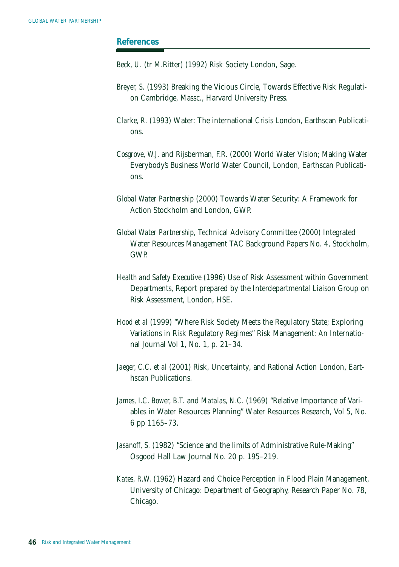#### *References*

*Beck, U.* (tr M.Ritter) (1992) Risk Society London, Sage.

- *Breyer, S.* (1993) Breaking the Vicious Circle, Towards Effective Risk Regulation Cambridge, Massc., Harvard University Press.
- *Clarke, R.* (1993) Water: The international Crisis London, Earthscan Publications.
- *Cosgrove, W.J.* and Rijsberman, F.R. (2000) World Water Vision; Making Water Everybody's Business World Water Council, London, Earthscan Publications.
- *Global Water Partnership* (2000) Towards Water Security: A Framework for Action Stockholm and London, GWP.
- *Global Water Partnership,* Technical Advisory Committee (2000) Integrated Water Resources Management TAC Background Papers No. 4, Stockholm, GWP.
- *Health and Safety Executive* (1996) Use of Risk Assessment within Government Departments, Report prepared by the Interdepartmental Liaison Group on Risk Assessment, London, HSE.
- *Hood et al* (1999) "Where Risk Society Meets the Regulatory State; Exploring Variations in Risk Regulatory Regimes" Risk Management: An International Journal Vol 1, No. 1, p. 21–34.
- *Jaeger, C.C. et al* (2001) Risk, Uncertainty, and Rational Action London, Earthscan Publications.
- *James, I.C. Bower, B.T.* and *Matalas, N.C.* (1969) "Relative Importance of Variables in Water Resources Planning" Water Resources Research, Vol 5, No. 6 pp 1165–73.
- *Jasanoff, S.* (1982) "Science and the limits of Administrative Rule-Making" Osgood Hall Law Journal No. 20 p. 195–219.
- *Kates, R.W.* (1962) Hazard and Choice Perception in Flood Plain Management, University of Chicago: Department of Geography, Research Paper No. 78, Chicago.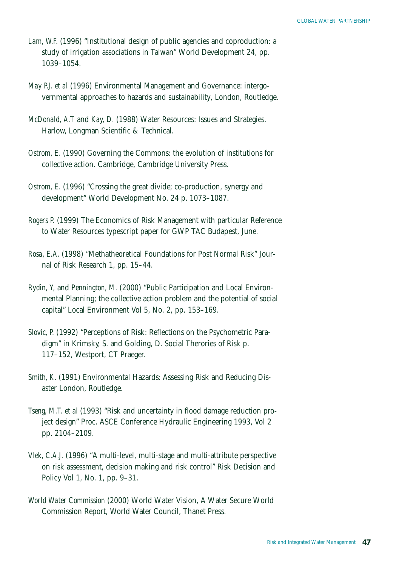- *Lam, W.F.* (1996) "Institutional design of public agencies and coproduction: a study of irrigation associations in Taiwan" World Development 24, pp. 1039–1054.
- *May P.J. et al* (1996) Environmental Management and Governance: intergovernmental approaches to hazards and sustainability, London, Routledge.
- *McDonald, A.T* and *Kay, D.* (1988) Water Resources: Issues and Strategies. Harlow, Longman Scientific & Technical.
- *Ostrom, E.* (1990) Governing the Commons: the evolution of institutions for collective action. Cambridge, Cambridge University Press.
- *Ostrom, E.* (1996) "Crossing the great divide; co-production, synergy and development" World Development No. 24 p. 1073–1087.
- *Rogers P.* (1999) The Economics of Risk Management with particular Reference to Water Resources typescript paper for GWP TAC Budapest, June.
- *Rosa, E.A.* (1998) "Methatheoretical Foundations for Post Normal Risk" Journal of Risk Research 1, pp. 15–44.
- *Rydin, Y,* and *Pennington, M.* (2000) "Public Participation and Local Environmental Planning; the collective action problem and the potential of social capital" Local Environment Vol 5, No. 2, pp. 153–169.
- *Slovic, P.* (1992) "Perceptions of Risk: Reflections on the Psychometric Paradigm" in Krimsky, S. and Golding, D. Social Therories of Risk p. 117–152, Westport, CT Praeger.
- *Smith, K.* (1991) Environmental Hazards: Assessing Risk and Reducing Disaster London, Routledge.
- *Tseng, M.T. et al* (1993) "Risk and uncertainty in flood damage reduction project design" Proc. ASCE Conference Hydraulic Engineering 1993, Vol 2 pp. 2104–2109.
- *Vlek, C.A.J.* (1996) "A multi-level, multi-stage and multi-attribute perspective on risk assessment, decision making and risk control" Risk Decision and Policy Vol 1, No. 1, pp. 9–31.
- *World Water Commission* (2000) World Water Vision, A Water Secure World Commission Report, World Water Council, Thanet Press.